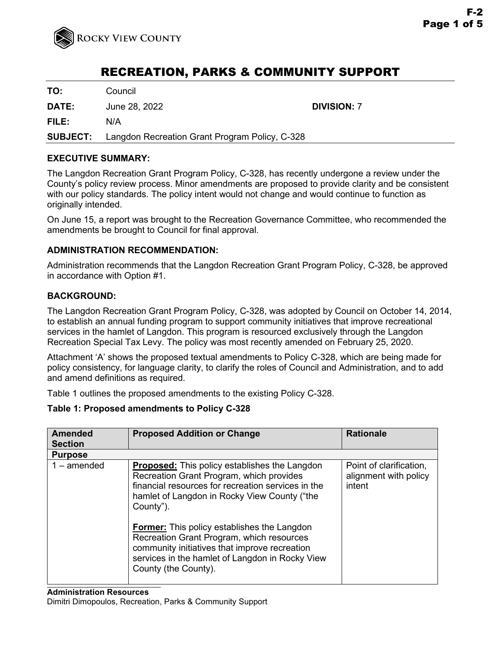

# RECREATION, PARKS & COMMUNITY SUPPORT

**TO:** Council

**DATE:** June 28, 2022 **DIVISION:** 7

**FILE:** N/A

**SUBJECT:** Langdon Recreation Grant Program Policy, C-328

## **EXECUTIVE SUMMARY:**

The Langdon Recreation Grant Program Policy, C-328, has recently undergone a review under the County's policy review process. Minor amendments are proposed to provide clarity and be consistent with our policy standards. The policy intent would not change and would continue to function as originally intended.

On June 15, a report was brought to the Recreation Governance Committee, who recommended the amendments be brought to Council for final approval.

## **ADMINISTRATION RECOMMENDATION:**

Administration recommends that the Langdon Recreation Grant Program Policy, C-328, be approved in accordance with Option #1.

## **BACKGROUND:**

The Langdon Recreation Grant Program Policy, C-328, was adopted by Council on October 14, 2014, to establish an annual funding program to support community initiatives that improve recreational services in the hamlet of Langdon. This program is resourced exclusively through the Langdon Recreation Special Tax Levy. The policy was most recently amended on February 25, 2020.

Attachment 'A' shows the proposed textual amendments to Policy C-328, which are being made for policy consistency, for language clarity, to clarify the roles of Council and Administration, and to add and amend definitions as required.

Table 1 outlines the proposed amendments to the existing Policy C-328.

#### **Table 1: Proposed amendments to Policy C-328**

| <b>Amended</b> | <b>Proposed Addition or Change</b>                                                                                                                                                                                                                                                                                                                                                                                                                 | <b>Rationale</b>                                           |
|----------------|----------------------------------------------------------------------------------------------------------------------------------------------------------------------------------------------------------------------------------------------------------------------------------------------------------------------------------------------------------------------------------------------------------------------------------------------------|------------------------------------------------------------|
| <b>Section</b> |                                                                                                                                                                                                                                                                                                                                                                                                                                                    |                                                            |
| <b>Purpose</b> |                                                                                                                                                                                                                                                                                                                                                                                                                                                    |                                                            |
| $1$ – amended  | <b>Proposed:</b> This policy establishes the Langdon<br>Recreation Grant Program, which provides<br>financial resources for recreation services in the<br>hamlet of Langdon in Rocky View County ("the<br>County").<br><b>Former:</b> This policy establishes the Langdon<br>Recreation Grant Program, which resources<br>community initiatives that improve recreation<br>services in the hamlet of Langdon in Rocky View<br>County (the County). | Point of clarification,<br>alignment with policy<br>intent |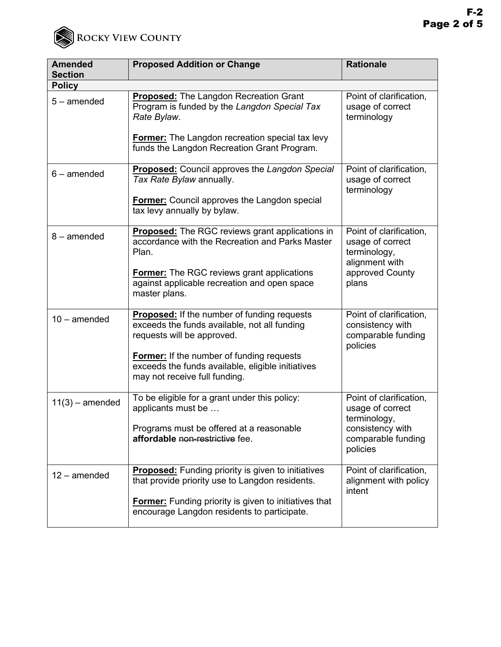

| <b>Amended</b>    | <b>Proposed Addition or Change</b>                                                                                                                                                                                                                                         | <b>Rationale</b>                                                                                                  |
|-------------------|----------------------------------------------------------------------------------------------------------------------------------------------------------------------------------------------------------------------------------------------------------------------------|-------------------------------------------------------------------------------------------------------------------|
| <b>Section</b>    |                                                                                                                                                                                                                                                                            |                                                                                                                   |
| <b>Policy</b>     |                                                                                                                                                                                                                                                                            |                                                                                                                   |
| $5$ – amended     | <b>Proposed:</b> The Langdon Recreation Grant<br>Program is funded by the Langdon Special Tax<br>Rate Bylaw.<br><b>Former:</b> The Langdon recreation special tax levy<br>funds the Langdon Recreation Grant Program.                                                      | Point of clarification,<br>usage of correct<br>terminology                                                        |
| $6$ – amended     | <b>Proposed:</b> Council approves the Langdon Special<br>Tax Rate Bylaw annually.<br><b>Former:</b> Council approves the Langdon special<br>tax levy annually by bylaw.                                                                                                    | Point of clarification,<br>usage of correct<br>terminology                                                        |
| $8 -$ amended     | <b>Proposed:</b> The RGC reviews grant applications in<br>accordance with the Recreation and Parks Master<br>Plan.<br><b>Former:</b> The RGC reviews grant applications<br>against applicable recreation and open space<br>master plans.                                   | Point of clarification,<br>usage of correct<br>terminology,<br>alignment with<br>approved County<br>plans         |
| $10 -$ amended    | <b>Proposed:</b> If the number of funding requests<br>exceeds the funds available, not all funding<br>requests will be approved.<br><b>Former:</b> If the number of funding requests<br>exceeds the funds available, eligible initiatives<br>may not receive full funding. | Point of clarification,<br>consistency with<br>comparable funding<br>policies                                     |
| $11(3)$ – amended | To be eligible for a grant under this policy:<br>applicants must be<br>Programs must be offered at a reasonable<br>affordable non-restrictive fee.                                                                                                                         | Point of clarification,<br>usage of correct<br>terminology,<br>consistency with<br>comparable funding<br>policies |
| $12$ – amended    | <b>Proposed:</b> Funding priority is given to initiatives<br>that provide priority use to Langdon residents.<br><b>Former:</b> Funding priority is given to initiatives that<br>encourage Langdon residents to participate.                                                | Point of clarification,<br>alignment with policy<br>intent                                                        |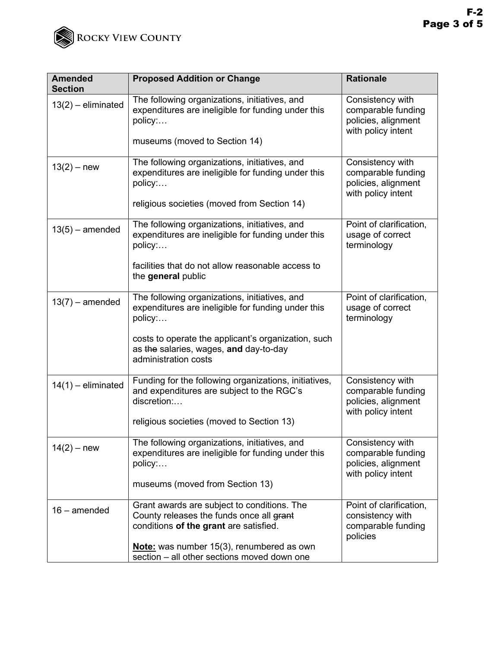

| <b>Amended</b><br><b>Section</b> | <b>Proposed Addition or Change</b>                                                                                                                            | <b>Rationale</b>                                                                    |
|----------------------------------|---------------------------------------------------------------------------------------------------------------------------------------------------------------|-------------------------------------------------------------------------------------|
| $13(2)$ – eliminated             | The following organizations, initiatives, and<br>expenditures are ineligible for funding under this<br>policy:                                                | Consistency with<br>comparable funding<br>policies, alignment<br>with policy intent |
|                                  | museums (moved to Section 14)                                                                                                                                 |                                                                                     |
| $13(2) - new$                    | The following organizations, initiatives, and<br>expenditures are ineligible for funding under this<br>policy:<br>religious societies (moved from Section 14) | Consistency with<br>comparable funding<br>policies, alignment<br>with policy intent |
|                                  |                                                                                                                                                               |                                                                                     |
| $13(5)$ – amended                | The following organizations, initiatives, and<br>expenditures are ineligible for funding under this<br>policy:                                                | Point of clarification,<br>usage of correct<br>terminology                          |
|                                  | facilities that do not allow reasonable access to<br>the general public                                                                                       |                                                                                     |
| $13(7)$ – amended                | The following organizations, initiatives, and<br>expenditures are ineligible for funding under this<br>policy:                                                | Point of clarification,<br>usage of correct<br>terminology                          |
|                                  | costs to operate the applicant's organization, such<br>as the salaries, wages, and day-to-day<br>administration costs                                         |                                                                                     |
| $14(1)$ – eliminated             | Funding for the following organizations, initiatives,<br>and expenditures are subject to the RGC's<br>discretion:                                             | Consistency with<br>comparable funding<br>policies, alignment<br>with policy intent |
|                                  | religious societies (moved to Section 13)                                                                                                                     |                                                                                     |
| $14(2) - new$                    | The following organizations, initiatives, and<br>expenditures are ineligible for funding under this<br>policy:<br>museums (moved from Section 13)             | Consistency with<br>comparable funding<br>policies, alignment<br>with policy intent |
|                                  |                                                                                                                                                               |                                                                                     |
| $16$ – amended                   | Grant awards are subject to conditions. The<br>County releases the funds once all grant<br>conditions of the grant are satisfied.                             | Point of clarification,<br>consistency with<br>comparable funding<br>policies       |
|                                  | Note: was number 15(3), renumbered as own<br>section – all other sections moved down one                                                                      |                                                                                     |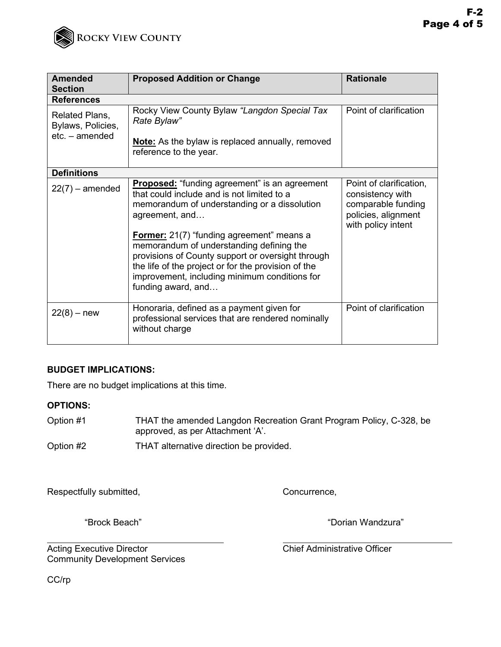

| <b>Amended</b><br><b>Section</b>                      | <b>Proposed Addition or Change</b>                                                                                                                                                                                                                                                                                                                                                                                                                      | <b>Rationale</b>                                                                                               |  |  |
|-------------------------------------------------------|---------------------------------------------------------------------------------------------------------------------------------------------------------------------------------------------------------------------------------------------------------------------------------------------------------------------------------------------------------------------------------------------------------------------------------------------------------|----------------------------------------------------------------------------------------------------------------|--|--|
| <b>References</b>                                     |                                                                                                                                                                                                                                                                                                                                                                                                                                                         |                                                                                                                |  |  |
| Related Plans,<br>Bylaws, Policies,<br>etc. - amended | Rocky View County Bylaw "Langdon Special Tax<br>Rate Bylaw"<br>Note: As the bylaw is replaced annually, removed<br>reference to the year.                                                                                                                                                                                                                                                                                                               | Point of clarification                                                                                         |  |  |
|                                                       |                                                                                                                                                                                                                                                                                                                                                                                                                                                         |                                                                                                                |  |  |
| <b>Definitions</b>                                    |                                                                                                                                                                                                                                                                                                                                                                                                                                                         |                                                                                                                |  |  |
| $22(7)$ – amended                                     | <b>Proposed:</b> "funding agreement" is an agreement<br>that could include and is not limited to a<br>memorandum of understanding or a dissolution<br>agreement, and<br><b>Former:</b> 21(7) "funding agreement" means a<br>memorandum of understanding defining the<br>provisions of County support or oversight through<br>the life of the project or for the provision of the<br>improvement, including minimum conditions for<br>funding award, and | Point of clarification,<br>consistency with<br>comparable funding<br>policies, alignment<br>with policy intent |  |  |
| $22(8) - new$                                         | Honoraria, defined as a payment given for<br>professional services that are rendered nominally<br>without charge                                                                                                                                                                                                                                                                                                                                        | Point of clarification                                                                                         |  |  |

## **BUDGET IMPLICATIONS:**

There are no budget implications at this time.

### **OPTIONS:**

- Option #1 THAT the amended Langdon Recreation Grant Program Policy, C-328, be approved, as per Attachment 'A'.
- Option #2 THAT alternative direction be provided.

Respectfully submitted, The Concurrence, Concurrence,

"Brock Beach" "Dorian Wandzura"

Acting Executive Director **Chief Administrative Officer** Chief Administrative Officer Community Development Services

CC/rp